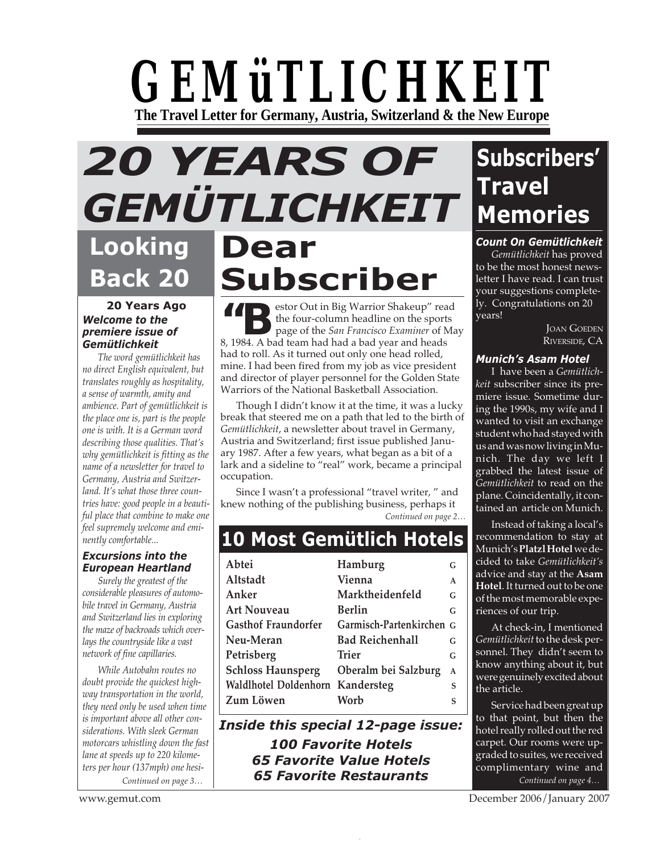## *GEMüTLICHKEIT* **The Travel Letter for Germany, Austria, Switzerland & the New Europe**

# *20 YEARS OF GEMÜTLICHKEIT*

### **Looking Back 20**

#### **20 Years Ago** *Welcome to the premiere issue of Gemütlichkeit*

*The word gemütlichkeit has no direct English equivalent, but translates roughly as hospitality, a sense of warmth, amity and ambience. Part of gemütlichkeit is the place one is, part is the people one is with. It is a German word describing those qualities. That's why gemütlichkeit is fitting as the name of a newsletter for travel to Germany, Austria and Switzerland. It's what those three countries have: good people in a beautiful place that combine to make one feel supremely welcome and eminently comfortable...*

#### *Excursions into the European Heartland*

*Surely the greatest of the considerable pleasures of automobile travel in Germany, Austria and Switzerland lies in exploring the maze of backroads which overlays the countryside like a vast network of fine capillaries.*

*While Autobahn routes no doubt provide the quickest highway transportation in the world, they need only be used when time is important above all other considerations. With sleek German motorcars whistling down the fast lane at speeds up to 220 kilometers per hour (137mph) one hesi-*

# **Dear Subscriber**

**11 D**estor Out in Big Warrior Shakeup" read the four-column headline on the sports page of the *San Francisco Examiner* of May 8, 1984. A bad team had had a bad year and heads had to roll. As it turned out only one head rolled, mine. I had been fired from my job as vice president and director of player personnel for the Golden State Warriors of the National Basketball Association.

Though I didn't know it at the time, it was a lucky break that steered me on a path that led to the birth of *Gemütlichkeit*, a newsletter about travel in Germany, Austria and Switzerland; first issue published January 1987. After a few years, what began as a bit of a lark and a sideline to "real" work, became a principal occupation.

Since I wasn't a professional "travel writer, " and knew nothing of the publishing business, perhaps it

*Continued on page 2…*

### **10 Most Gemütlich Hotels**

| Abtei                            | Hamburg                  | G            |
|----------------------------------|--------------------------|--------------|
| Altstadt                         | Vienna                   | $\mathsf{A}$ |
| Anker                            | Marktheidenfeld          | G            |
| <b>Art Nouveau</b>               | Berlin                   | G            |
| <b>Gasthof Fraundorfer</b>       | Garmisch-Partenkirchen G |              |
| Neu-Meran                        | <b>Bad Reichenhall</b>   | G            |
| Petrisberg                       | Trier                    | G            |
| <b>Schloss Haunsperg</b>         | Oberalm bei Salzburg     | $\mathbf{A}$ |
| Waldlhotel Doldenhorn Kandersteg |                          | S            |
| Zum Löwen                        | Worb                     | S            |
|                                  |                          |              |

*Continued on page 3… Continued on page 6… Continued on page 4… Inside this special 12-page issue: 100 Favorite Hotels 65 Favorite Value Hotels 65 Favorite Restaurants*

### **Subscribers' Travel Memories**

#### *Count On Gemütlichkeit*

*Gemütlichkeit* has proved to be the most honest newsletter I have read. I can trust your suggestions completely. Congratulations on 20 years!

> JOAN GOEDEN RIVERSIDE, CA

#### *Munich's Asam Hotel*

I have been a *Gemütlichkeit* subscriber since its premiere issue. Sometime during the 1990s, my wife and I wanted to visit an exchange student who had stayed with us and was now living in Munich. The day we left I grabbed the latest issue of *Gemütlichkeit* to read on the plane. Coincidentally, it contained an article on Munich.

Instead of taking a local's recommendation to stay at Munich's **Platzl Hotel**we decided to take *Gemütlichkeit's* advice and stay at the **Asam Hotel**. It turned out to be one of the most memorable experiences of our trip.

At check-in, I mentioned *Gemütlichkeit*to the desk personnel. They didn't seem to know anything about it, but were genuinely excited about the article.

Service had been great up to that point, but then the hotel really rolled out the red carpet. Our rooms were upgraded to suites, we received complimentary wine and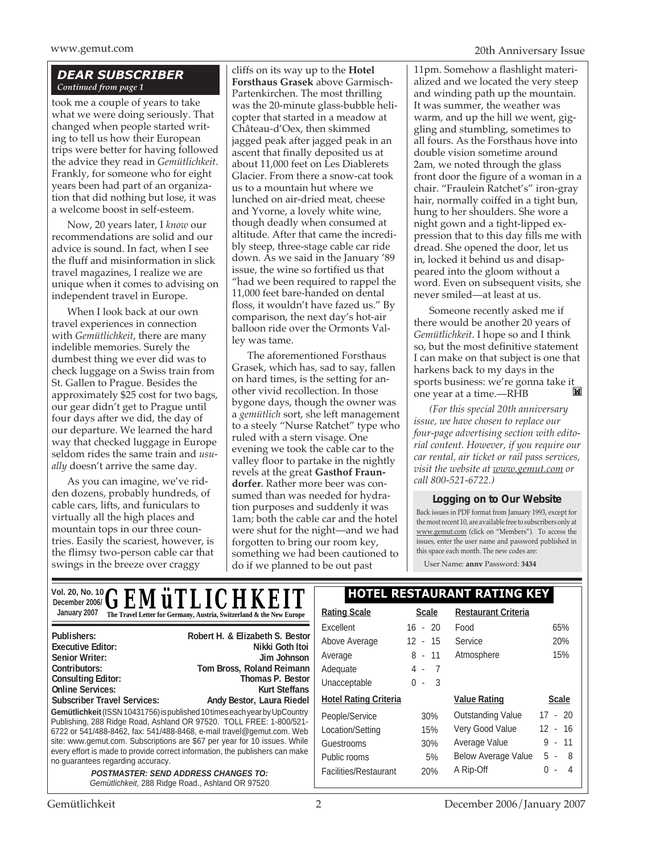#### *DEAR SUBSCRIBER Continued from page 1*

took me a couple of years to take what we were doing seriously. That changed when people started writing to tell us how their European trips were better for having followed the advice they read in *Gemütlichkeit*. Frankly, for someone who for eight years been had part of an organization that did nothing but lose, it was a welcome boost in self-esteem.

Now, 20 years later, I *know* our recommendations are solid and our advice is sound. In fact, when I see the fluff and misinformation in slick travel magazines, I realize we are unique when it comes to advising on independent travel in Europe.

When I look back at our own travel experiences in connection with *Gemütlichkeit*, there are many indelible memories. Surely the dumbest thing we ever did was to check luggage on a Swiss train from St. Gallen to Prague. Besides the approximately \$25 cost for two bags, our gear didn't get to Prague until four days after we did, the day of our departure. We learned the hard way that checked luggage in Europe seldom rides the same train and *usually* doesn't arrive the same day.

As you can imagine, we've ridden dozens, probably hundreds, of cable cars, lifts, and funiculars to virtually all the high places and mountain tops in our three countries. Easily the scariest, however, is the flimsy two-person cable car that swings in the breeze over craggy

cliffs on its way up to the **Hotel Forsthaus Grasek** above Garmisch-Partenkirchen. The most thrilling was the 20-minute glass-bubble helicopter that started in a meadow at Château-d'Oex, then skimmed jagged peak after jagged peak in an ascent that finally deposited us at about 11,000 feet on Les Diablerets Glacier. From there a snow-cat took us to a mountain hut where we lunched on air-dried meat, cheese and Yvorne, a lovely white wine, though deadly when consumed at altitude. After that came the incredibly steep, three-stage cable car ride down. As we said in the January '89 issue, the wine so fortified us that "had we been required to rappel the 11,000 feet bare-handed on dental floss, it wouldn't have fazed us." By comparison, the next day's hot-air balloon ride over the Ormonts Valley was tame.

The aforementioned Forsthaus Grasek, which has, sad to say, fallen on hard times, is the setting for another vivid recollection. In those bygone days, though the owner was a *gemütlich* sort, she left management to a steely "Nurse Ratchet" type who ruled with a stern visage. One evening we took the cable car to the valley floor to partake in the nightly revels at the great **Gasthof Fraundorfer**. Rather more beer was consumed than was needed for hydration purposes and suddenly it was 1am; both the cable car and the hotel were shut for the night—and we had forgotten to bring our room key, something we had been cautioned to do if we planned to be out past

11pm. Somehow a flashlight materialized and we located the very steep and winding path up the mountain. It was summer, the weather was warm, and up the hill we went, giggling and stumbling, sometimes to all fours. As the Forsthaus hove into double vision sometime around 2am, we noted through the glass front door the figure of a woman in a chair. "Fraulein Ratchet's" iron-gray hair, normally coiffed in a tight bun, hung to her shoulders. She wore a night gown and a tight-lipped expression that to this day fills me with dread. She opened the door, let us in, locked it behind us and disappeared into the gloom without a word. Even on subsequent visits, she never smiled—at least at us.

Someone recently asked me if there would be another 20 years of *Gemütlichkeit*. I hope so and I think so, but the most definitive statement I can make on that subject is one that harkens back to my days in the sports business: we're gonna take it<br>one year at a time  $-RHB$ one year at a time.—RHB

*(For this special 20th anniversary issue, we have chosen to replace our four-page advertising section with editorial content. However, if you require our car rental, air ticket or rail pass services, visit the website at www.gemut.com or call 800-521-6722.)*

#### **Logging on to Our Website**

Back issues in PDF format from January 1993, except for the most recent 10, are available free to subscribers only at www.gemut.com (click on "Members"). To access the issues, enter the user name and password published in this space each month. The new codes are:

User Name: **annv** Password: **3434**

|                                                               | $\rm _{\tiny \textrm{December 20, NO. 10}}^{VOL 20, NO. 10} \textbf{GEMüTLICHKEIT}$             | <b>HOTEL RESTAURANT RATING KEY</b> |                       |                            |              |
|---------------------------------------------------------------|-------------------------------------------------------------------------------------------------|------------------------------------|-----------------------|----------------------------|--------------|
| January 2007                                                  | The Travel Letter for Germany, Austria, Switzerland & the New Europe                            | <b>Rating Scale</b>                | <b>Scale</b>          | <b>Restaurant Criteria</b> |              |
|                                                               |                                                                                                 | Excellent                          | $16 - 20$             | Food                       | 65%          |
| Publishers:<br><b>Executive Editor:</b>                       | Robert H. & Elizabeth S. Bestor<br>Nikki Goth Itoi                                              | Above Average                      | $12 - 15$             | Service                    | 20%          |
| <b>Senior Writer:</b>                                         | Jim Johnson                                                                                     | Average                            | $8 - 11$              | Atmosphere                 | 15%          |
| Contributors:                                                 | Tom Bross, Roland Reimann                                                                       | Adequate                           | 4 -<br>$\overline{7}$ |                            |              |
| <b>Consulting Editor:</b>                                     | Thomas P. Bestor                                                                                | Unacceptable                       | $0 - 3$               |                            |              |
| <b>Online Services:</b><br><b>Subscriber Travel Services:</b> | Kurt Steffans<br>Andy Bestor, Laura Riedel                                                      | <b>Hotel Rating Criteria</b>       |                       | <b>Value Rating</b>        | <b>Scale</b> |
|                                                               | <b>Gemütlichkeit</b> (ISSN 10431756) is published 10 times each year by UpCountry               |                                    |                       |                            | $17 - 20$    |
|                                                               | Publishing, 288 Ridge Road, Ashland OR 97520. TOLL FREE: 1-800/521-                             | People/Service                     | 30%                   | <b>Outstanding Value</b>   |              |
|                                                               | 6722 or 541/488-8462, fax: 541/488-8468, e-mail travel@gemut.com. Web                           | Location/Setting                   | 15%                   | Very Good Value            | $12 - 16$    |
|                                                               | site: www.gemut.com. Subscriptions are \$67 per year for 10 issues. While                       | Guestrooms                         | 30%                   | Average Value              | $-11$<br>9   |
| no guarantees regarding accuracy.                             | every effort is made to provide correct information, the publishers can make                    | Public rooms                       | 5%                    | <b>Below Average Value</b> | $5 - 8$      |
|                                                               | <b>POSTMASTER: SEND ADDRESS CHANGES TO:</b><br>Gemütlichkeit, 288 Ridge Road., Ashland OR 97520 | Facilities/Restaurant              | 20%                   | A Rip-Off                  | 0<br>- 4     |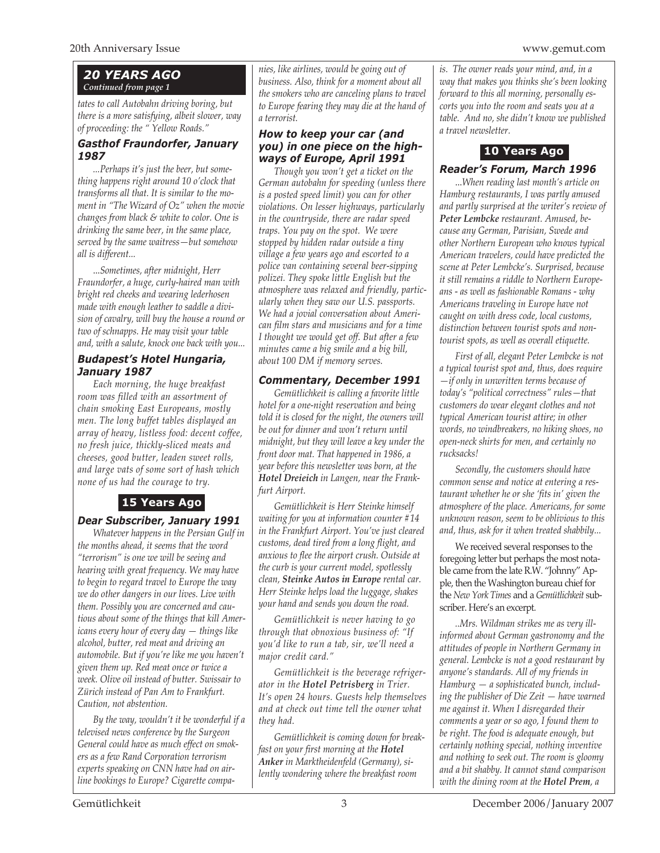#### *20 YEARS AGO Continued from page 1*

*tates to call Autobahn driving boring, but there is a more satisfying, albeit slower, way of proceeding: the " Yellow Roads."*

#### *Gasthof Fraundorfer, January 1987*

*...Perhaps it's just the beer, but something happens right around 10 o'clock that transforms all that. It is similar to the moment in "The Wizard of Oz" when the movie changes from black & white to color. One is drinking the same beer, in the same place, served by the same waitress—but somehow all is different...*

...*Sometimes, after midnight, Herr Fraundorfer, a huge, curly-haired man with bright red cheeks and wearing lederhosen made with enough leather to saddle a division of cavalry, will buy the house a round or two of schnapps. He may visit your table and, with a salute, knock one back with you...*

#### *Budapest's Hotel Hungaria, January 1987*

*Each morning, the huge breakfast room was filled with an assortment of chain smoking East Europeans, mostly men. The long buffet tables displayed an array of heavy, listless food: decent coffee, no fresh juice, thickly-sliced meats and cheeses, good butter, leaden sweet rolls, and large vats of some sort of hash which none of us had the courage to try.*

### **15 Years Ago**

#### *Dear Subscriber, January 1991*

*Whatever happens in the Persian Gulf in the months ahead, it seems that the word "terrorism" is one we will be seeing and hearing with great frequency. We may have to begin to regard travel to Europe the way we do other dangers in our lives. Live with them. Possibly you are concerned and cautious about some of the things that kill Americans every hour of every day — things like alcohol, butter, red meat and driving an automobile. But if you're like me you haven't given them up. Red meat once or twice a week. Olive oil instead of butter. Swissair to Zürich instead of Pan Am to Frankfurt. Caution, not abstention.*

*By the way, wouldn't it be wonderful if a televised news conference by the Surgeon General could have as much effect on smokers as a few Rand Corporation terrorism experts speaking on CNN have had on airline bookings to Europe? Cigarette compa-* *nies, like airlines, would be going out of business. Also, think for a moment about all the smokers who are canceling plans to travel to Europe fearing they may die at the hand of a terrorist.*

#### *How to keep your car (and you) in one piece on the highways of Europe, April 1991*

*Though you won't get a ticket on the German autobahn for speeding (unless there is a posted speed limit) you can for other violations. On lesser highways, particularly in the countryside, there are radar speed traps. You pay on the spot. We were stopped by hidden radar outside a tiny village a few years ago and escorted to a police van containing several beer-sipping polizei. They spoke little English but the atmosphere was relaxed and friendly, particularly when they saw our U.S. passports. We had a jovial conversation about American film stars and musicians and for a time I thought we would get off. But after a few minutes came a big smile and a big bill, about 100 DM if memory serves.*

#### *Commentary, December 1991*

*Gemütlichkeit is calling a favorite little hotel for a one-night reservation and being told it is closed for the night, the owners will be out for dinner and won't return until midnight, but they will leave a key under the front door mat. That happened in 1986, a year before this newsletter was born, at the Hotel Dreieich in Langen, near the Frankfurt Airport.*

*Gemütlichkeit is Herr Steinke himself waiting for you at information counter #14 in the Frankfurt Airport. You've just cleared customs, dead tired from a long flight, and anxious to flee the airport crush. Outside at the curb is your current model, spotlessly clean, Steinke Autos in Europe rental car. Herr Steinke helps load the luggage, shakes your hand and sends you down the road.*

*Gemütlichkeit is never having to go through that obnoxious business of: "If you'd like to run a tab, sir, we'll need a major credit card."*

*Gemütlichkeit is the beverage refrigerator in the Hotel Petrisberg in Trier. It's open 24 hours. Guests help themselves and at check out time tell the owner what they had.*

*Gemütlichkeit is coming down for breakfast on your first morning at the Hotel Anker in Marktheidenfeld (Germany), silently wondering where the breakfast room*

*is. The owner reads your mind, and, in a way that makes you thinks she's been looking forward to this all morning, personally escorts you into the room and seats you at a table. And no, she didn't know we published a travel newsletter.*

#### **10 Years Ago**

#### *Reader's Forum, March 1996*

...*When reading last month's article on Hamburg restaurants, I was partly amused and partly surprised at the writer's review of Peter Lembcke restaurant. Amused, because any German, Parisian, Swede and other Northern European who knows typical American travelers, could have predicted the scene at Peter Lembcke's. Surprised, because it still remains a riddle to Northern Europeans - as well as fashionable Romans - why Americans traveling in Europe have not caught on with dress code, local customs, distinction between tourist spots and nontourist spots, as well as overall etiquette.*

*First of all, elegant Peter Lembcke is not a typical tourist spot and, thus, does require —if only in unwritten terms because of today's "political correctness" rules—that customers do wear elegant clothes and not typical American tourist attire; in other words, no windbreakers, no hiking shoes, no open-neck shirts for men, and certainly no rucksacks!*

*Secondly, the customers should have common sense and notice at entering a restaurant whether he or she 'fits in' given the atmosphere of the place. Americans, for some unknown reason, seem to be oblivious to this and, thus, ask for it when treated shabbily...*

We received several responses to the foregoing letter but perhaps the most notable came from the late R.W. "Johnny" Apple, then the Washington bureau chief for the *New York Times* and a *Gemütlichkeit* subscriber. Here's an excerpt.

*..Mrs. Wildman strikes me as very illinformed about German gastronomy and the attitudes of people in Northern Germany in general. Lembcke is not a good restaurant by anyone's standards. All of my friends in Hamburg — a sophisticated bunch, including the publisher of Die Zeit — have warned me against it. When I disregarded their comments a year or so ago, I found them to be right. The food is adequate enough, but certainly nothing special, nothing inventive and nothing to seek out. The room is gloomy and a bit shabby. It cannot stand comparison with the dining room at the Hotel Prem, a*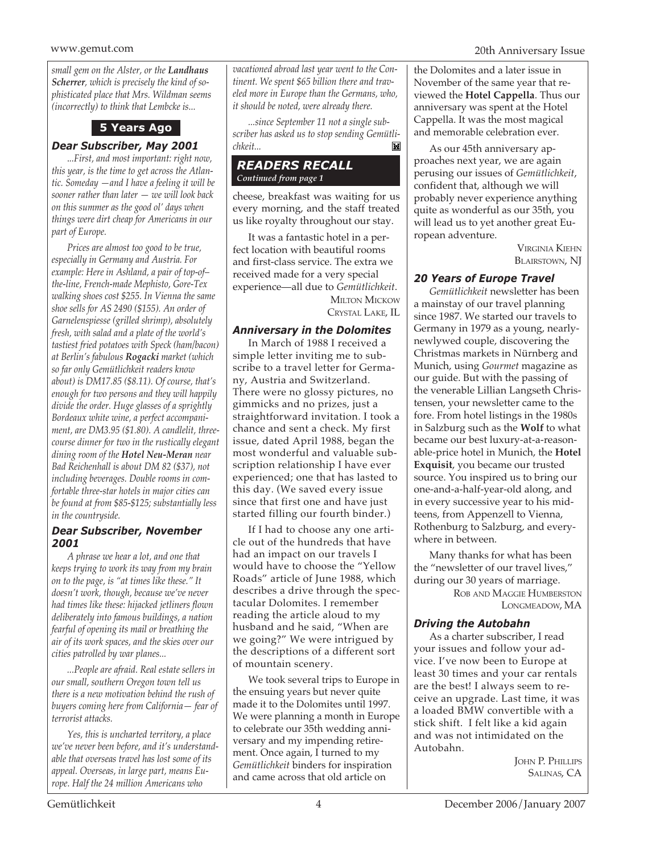*small gem on the Alster, or the Landhaus Scherrer, which is precisely the kind of sophisticated place that Mrs. Wildman seems (incorrectly) to think that Lembcke is...*

#### **5 Years Ago**

#### *Dear Subscriber, May 2001*

.*..First, and most important: right now, this year, is the time to get across the Atlantic. Someday —and I have a feeling it will be sooner rather than later — we will look back on this summer as the good ol' days when things were dirt cheap for Americans in our part of Europe.*

*Prices are almost too good to be true, especially in Germany and Austria. For example: Here in Ashland, a pair of top-of– the-line, French-made Mephisto, Gore-Tex walking shoes cost \$255. In Vienna the same shoe sells for AS 2490 (\$155). An order of Garnelenspiesse (grilled shrimp), absolutely fresh, with salad and a plate of the world's tastiest fried potatoes with Speck (ham/bacon) at Berlin's fabulous Rogacki market (which so far only Gemütlichkeit readers know about) is DM17.85 (\$8.11). Of course, that's enough for two persons and they will happily divide the order. Huge glasses of a sprightly Bordeaux white wine, a perfect accompaniment, are DM3.95 (\$1.80). A candlelit, threecourse dinner for two in the rustically elegant dining room of the Hotel Neu-Meran near Bad Reichenhall is about DM 82 (\$37), not including beverages. Double rooms in comfortable three-star hotels in major cities can be found at from \$85-\$125; substantially less in the countryside.*

#### *Dear Subscriber, November 2001*

*A phrase we hear a lot, and one that keeps trying to work its way from my brain on to the page, is "at times like these." It doesn't work, though, because we've never had times like these: hijacked jetliners flown deliberately into famous buildings, a nation fearful of opening its mail or breathing the air of its work spaces, and the skies over our cities patrolled by war planes...*

*...People are afraid. Real estate sellers in our small, southern Oregon town tell us there is a new motivation behind the rush of buyers coming here from California— fear of terrorist attacks.*

*Yes, this is uncharted territory, a place we've never been before, and it's understandable that overseas travel has lost some of its appeal. Overseas, in large part, means Europe. Half the 24 million Americans who*

*vacationed abroad last year went to the Continent. We spent \$65 billion there and traveled more in Europe than the Germans, who, it should be noted, were already there.*

*...since September 11 not a single subscriber has asked us to stop sending Gemütlichkeit...* M

#### *READERS RECALL Continued from page 1*

cheese, breakfast was waiting for us every morning, and the staff treated us like royalty throughout our stay.

It was a fantastic hotel in a perfect location with beautiful rooms and first-class service. The extra we received made for a very special experience—all due to *Gemütlichkeit*. MILTON MICKOW CRYSTAL LAKE, IL

#### *Anniversary in the Dolomites*

In March of 1988 I received a simple letter inviting me to subscribe to a travel letter for Germany, Austria and Switzerland. There were no glossy pictures, no gimmicks and no prizes, just a straightforward invitation. I took a chance and sent a check. My first issue, dated April 1988, began the most wonderful and valuable subscription relationship I have ever experienced; one that has lasted to this day. (We saved every issue since that first one and have just started filling our fourth binder.)

If I had to choose any one article out of the hundreds that have had an impact on our travels I would have to choose the "Yellow Roads" article of June 1988, which describes a drive through the spectacular Dolomites. I remember reading the article aloud to my husband and he said, "When are we going?" We were intrigued by the descriptions of a different sort of mountain scenery.

We took several trips to Europe in the ensuing years but never quite made it to the Dolomites until 1997. We were planning a month in Europe to celebrate our 35th wedding anniversary and my impending retirement. Once again, I turned to my *Gemütlichkeit* binders for inspiration and came across that old article on

the Dolomites and a later issue in November of the same year that reviewed the **Hotel Cappella**. Thus our anniversary was spent at the Hotel Cappella. It was the most magical and memorable celebration ever.

As our 45th anniversary approaches next year, we are again perusing our issues of *Gemütlichkeit*, confident that, although we will probably never experience anything quite as wonderful as our 35th, you will lead us to yet another great European adventure.

> VIRGINIA KIEHN BLAIRSTOWN, NJ

#### *20 Years of Europe Travel*

*Gemütlichkeit* newsletter has been a mainstay of our travel planning since 1987. We started our travels to Germany in 1979 as a young, nearlynewlywed couple, discovering the Christmas markets in Nürnberg and Munich, using *Gourmet* magazine as our guide. But with the passing of the venerable Lillian Langseth Christensen, your newsletter came to the fore. From hotel listings in the 1980s in Salzburg such as the **Wolf** to what became our best luxury-at-a-reasonable-price hotel in Munich, the **Hotel Exquisit**, you became our trusted source. You inspired us to bring our one-and-a-half-year-old along, and in every successive year to his midteens, from Appenzell to Vienna, Rothenburg to Salzburg, and everywhere in between.

Many thanks for what has been the "newsletter of our travel lives," during our 30 years of marriage.

> ROB AND MAGGIE HUMBERSTON LONGMEADOW, MA

#### *Driving the Autobahn*

As a charter subscriber, I read your issues and follow your advice. I've now been to Europe at least 30 times and your car rentals are the best! I always seem to receive an upgrade. Last time, it was a loaded BMW convertible with a stick shift. I felt like a kid again and was not intimidated on the Autobahn.

> JOHN P. PHILLIPS SALINAS, CA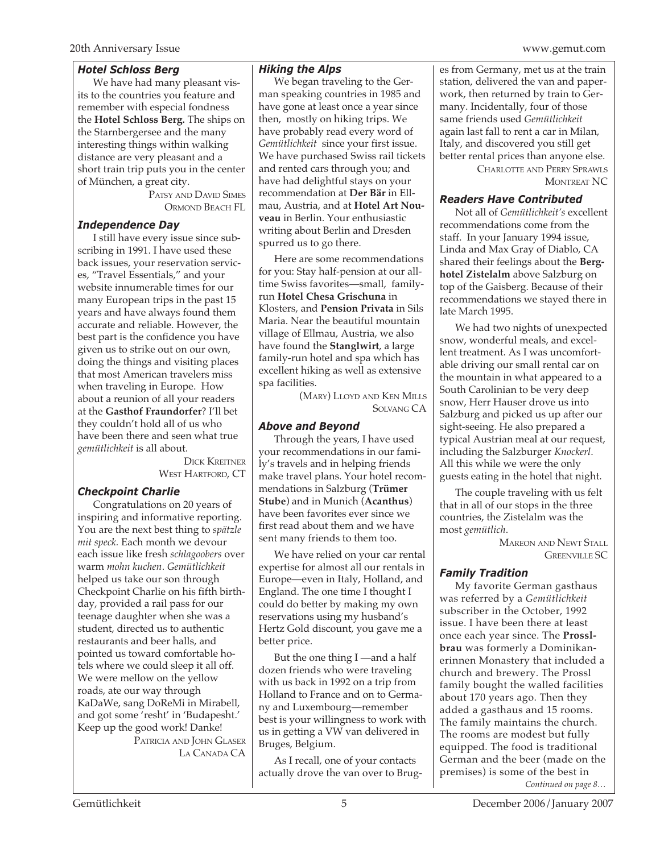#### *Hotel Schloss Berg*

We have had many pleasant visits to the countries you feature and remember with especial fondness the **Hotel Schloss Berg.** The ships on the Starnbergersee and the many interesting things within walking distance are very pleasant and a short train trip puts you in the center of München, a great city.

> PATSY AND DAVID SIMES ORMOND BEACH FL

#### *Independence Day*

I still have every issue since subscribing in 1991. I have used these back issues, your reservation services, "Travel Essentials," and your website innumerable times for our many European trips in the past 15 years and have always found them accurate and reliable. However, the best part is the confidence you have given us to strike out on our own, doing the things and visiting places that most American travelers miss when traveling in Europe. How about a reunion of all your readers at the **Gasthof Fraundorfer**? I'll bet they couldn't hold all of us who have been there and seen what true *gemütlichkeit* is all about.

DICK KREITNER WEST HARTFORD, CT

#### *Checkpoint Charlie*

Congratulations on 20 years of inspiring and informative reporting. You are the next best thing to *spätzle mit speck.* Each month we devour each issue like fresh *schlagoobers* over warm *mohn kuchen*. *Gemütlichkeit* helped us take our son through Checkpoint Charlie on his fifth birthday, provided a rail pass for our teenage daughter when she was a student, directed us to authentic restaurants and beer halls, and pointed us toward comfortable hotels where we could sleep it all off. We were mellow on the yellow roads, ate our way through KaDaWe, sang DoReMi in Mirabell, and got some 'resht' in 'Budapesht.' Keep up the good work! Danke! PATRICIA AND JOHN GLASER

LA CANADA CA

#### *Hiking the Alps*

We began traveling to the German speaking countries in 1985 and have gone at least once a year since then, mostly on hiking trips. We have probably read every word of *Gemütlichkeit* since your first issue. We have purchased Swiss rail tickets and rented cars through you; and have had delightful stays on your recommendation at **Der Bär** in Ellmau, Austria, and at **Hotel Art Nouveau** in Berlin. Your enthusiastic writing about Berlin and Dresden spurred us to go there.

Here are some recommendations for you: Stay half-pension at our alltime Swiss favorites—small, familyrun **Hotel Chesa Grischuna** in Klosters, and **Pension Privata** in Sils Maria. Near the beautiful mountain village of Ellmau, Austria, we also have found the **Stanglwirt**, a large family-run hotel and spa which has excellent hiking as well as extensive spa facilities.

> (MARY) LLOYD AND KEN MILLS SOLVANG CA

#### *Above and Beyond*

Through the years, I have used your recommendations in our family's travels and in helping friends make travel plans. Your hotel recommendations in Salzburg (**Trümer Stube**) and in Munich (**Acanthus**) have been favorites ever since we first read about them and we have sent many friends to them too.

We have relied on your car rental expertise for almost all our rentals in Europe—even in Italy, Holland, and England. The one time I thought I could do better by making my own reservations using my husband's Hertz Gold discount, you gave me a better price.

But the one thing I —and a half dozen friends who were traveling with us back in 1992 on a trip from Holland to France and on to Germany and Luxembourg—remember best is your willingness to work with us in getting a VW van delivered in Bruges, Belgium.

As I recall, one of your contacts actually drove the van over to Brug-

es from Germany, met us at the train station, delivered the van and paperwork, then returned by train to Germany. Incidentally, four of those same friends used *Gemütlichkeit* again last fall to rent a car in Milan, Italy, and discovered you still get better rental prices than anyone else.

CHARLOTTE AND PERRY SPRAWLS MONTREAT NC

#### *Readers Have Contributed*

Not all of *Gemütlichkeit's* excellent recommendations come from the staff. In your January 1994 issue, Linda and Max Gray of Diablo, CA shared their feelings about the **Berghotel Zistelalm** above Salzburg on top of the Gaisberg. Because of their recommendations we stayed there in late March 1995.

We had two nights of unexpected snow, wonderful meals, and excellent treatment. As I was uncomfortable driving our small rental car on the mountain in what appeared to a South Carolinian to be very deep snow, Herr Hauser drove us into Salzburg and picked us up after our sight-seeing. He also prepared a typical Austrian meal at our request, including the Salzburger *Knockerl*. All this while we were the only guests eating in the hotel that night.

The couple traveling with us felt that in all of our stops in the three countries, the Zistelalm was the most *gemütlich*.

> MAREON AND NEWT STALL GREENVILLE SC

#### *Family Tradition*

My favorite German gasthaus was referred by a *Gemütlichkeit* subscriber in the October, 1992 issue. I have been there at least once each year since. The **Prosslbrau** was formerly a Dominikanerinnen Monastery that included a church and brewery. The Prossl family bought the walled facilities about 170 years ago. Then they added a gasthaus and 15 rooms. The family maintains the church. The rooms are modest but fully equipped. The food is traditional German and the beer (made on the premises) is some of the best in *Continued on page 8…*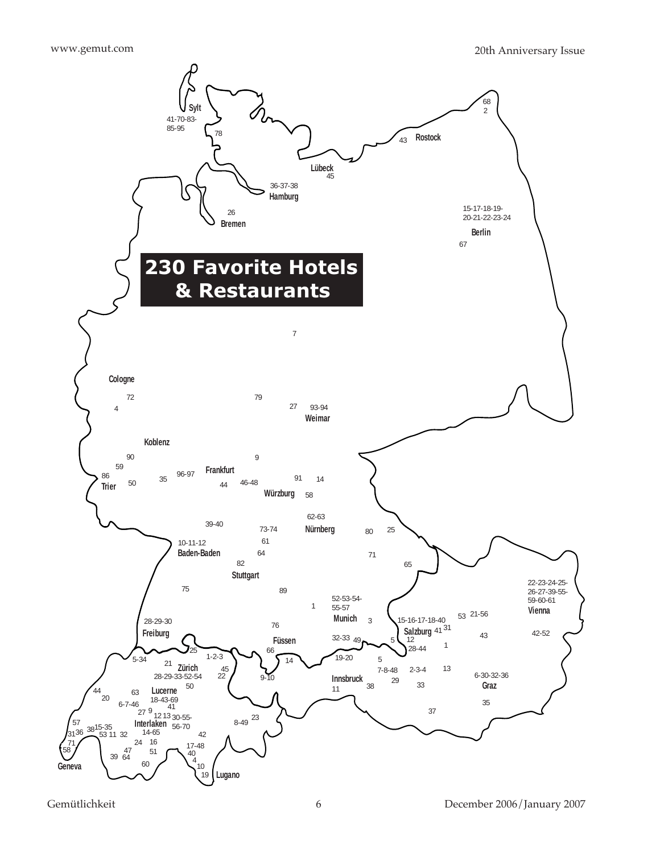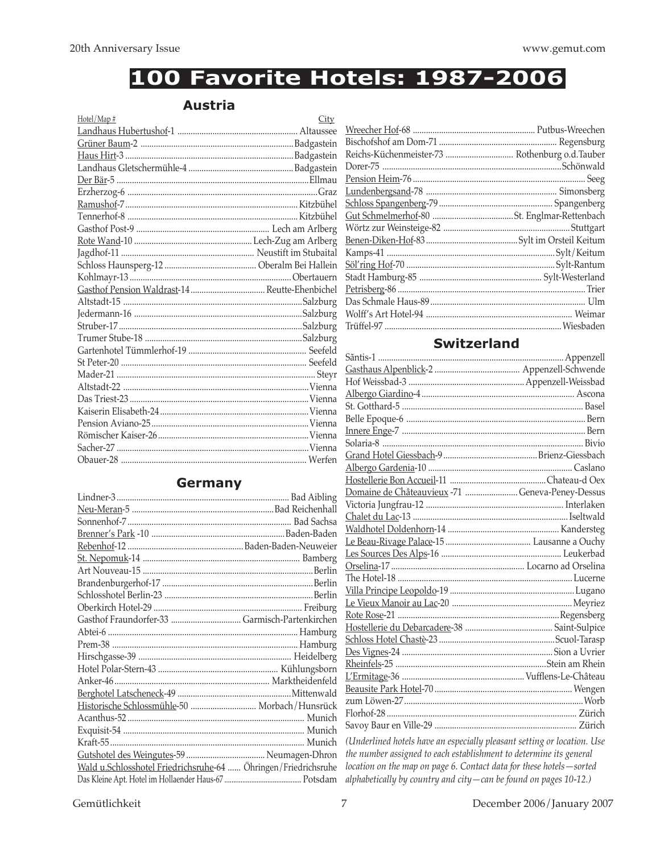### 100 Favorite Hotels: 1987-2006

#### **Austria**

| Hotel/Map#                                     | City |
|------------------------------------------------|------|
|                                                |      |
|                                                |      |
|                                                |      |
|                                                |      |
|                                                |      |
|                                                |      |
|                                                |      |
|                                                |      |
|                                                |      |
|                                                |      |
|                                                |      |
|                                                |      |
|                                                |      |
| Gasthof Pension Waldrast-14  Reutte-Ehenbichel |      |
|                                                |      |
|                                                |      |
|                                                |      |
|                                                |      |
|                                                |      |
|                                                |      |
|                                                |      |
|                                                |      |
|                                                |      |
|                                                |      |
|                                                |      |
|                                                |      |
|                                                |      |
|                                                |      |

#### **Germany**

| Historische Schlossmühle-50  Morbach/Hunsrück                  |  |
|----------------------------------------------------------------|--|
|                                                                |  |
|                                                                |  |
|                                                                |  |
|                                                                |  |
| Wald u.Schlosshotel Friedrichsruhe-64  Öhringen/Friedrichsruhe |  |
|                                                                |  |

| Reichs-Küchenmeister-73  Rothenburg o.d.Tauber |  |
|------------------------------------------------|--|
|                                                |  |
|                                                |  |
|                                                |  |
|                                                |  |
|                                                |  |
|                                                |  |
|                                                |  |
|                                                |  |
|                                                |  |
|                                                |  |
|                                                |  |
|                                                |  |
|                                                |  |
|                                                |  |

#### **Switzerland**

| Domaine de Châteauvieux -71  Geneva-Peney-Dessus |  |
|--------------------------------------------------|--|
|                                                  |  |
|                                                  |  |
|                                                  |  |
|                                                  |  |
|                                                  |  |
|                                                  |  |
|                                                  |  |
|                                                  |  |
|                                                  |  |
|                                                  |  |
|                                                  |  |
|                                                  |  |
|                                                  |  |
|                                                  |  |
|                                                  |  |
|                                                  |  |
|                                                  |  |
|                                                  |  |
|                                                  |  |
|                                                  |  |

(Underlined hotels have an especially pleasant setting or location. Use the number assigned to each establishment to determine its general location on the map on page 6. Contact data for these hotels-sorted alphabetically by country and city-can be found on pages 10-12.)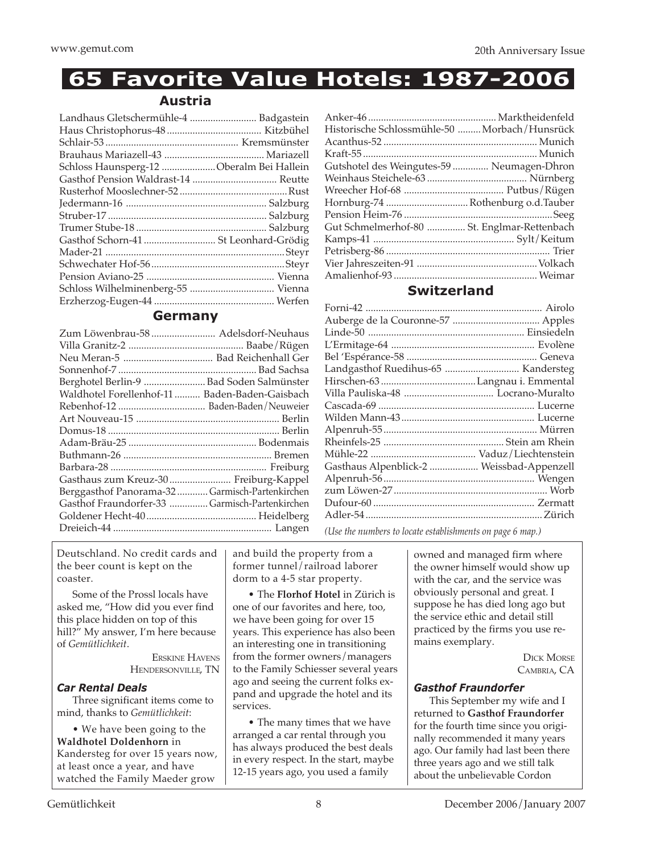### **65 Favorite Value Hotels: 1987-2006**

#### **Austria**

| Landhaus Gletschermühle-4  Badgastein    |  |
|------------------------------------------|--|
|                                          |  |
|                                          |  |
|                                          |  |
| Schloss Haunsperg-12 Oberalm Bei Hallein |  |
|                                          |  |
|                                          |  |
|                                          |  |
|                                          |  |
|                                          |  |
|                                          |  |
|                                          |  |
|                                          |  |
|                                          |  |
|                                          |  |
|                                          |  |
|                                          |  |

#### **Germany**

| Zum Löwenbrau-58  Adelsdorf-Neuhaus            |  |
|------------------------------------------------|--|
|                                                |  |
|                                                |  |
|                                                |  |
| Berghotel Berlin-9  Bad Soden Salmünster       |  |
| Waldhotel Forellenhof-11  Baden-Baden-Gaisbach |  |
|                                                |  |
|                                                |  |
|                                                |  |
|                                                |  |
|                                                |  |
|                                                |  |
| Gasthaus zum Kreuz-30  Freiburg-Kappel         |  |
| Berggasthof Panorama-32 Garmisch-Partenkirchen |  |
| Gasthof Fraundorfer-33 Garmisch-Partenkirchen  |  |
|                                                |  |
|                                                |  |
|                                                |  |

| Historische Schlossmühle-50  Morbach/Hunsrück |  |
|-----------------------------------------------|--|
|                                               |  |
|                                               |  |
| Gutshotel des Weingutes-59  Neumagen-Dhron    |  |
|                                               |  |
|                                               |  |
| Hornburg-74 Rothenburg o.d.Tauber             |  |
|                                               |  |
| Gut Schmelmerhof-80  St. Englmar-Rettenbach   |  |
|                                               |  |
|                                               |  |
|                                               |  |
|                                               |  |
|                                               |  |

#### **Switzerland**

| Gasthaus Alpenblick-2  Weissbad-Appenzell                                |  |
|--------------------------------------------------------------------------|--|
|                                                                          |  |
|                                                                          |  |
|                                                                          |  |
|                                                                          |  |
| $(11.1)$ the multiple of the state of the term of the second of mass $($ |  |

*(Use the numbers to locate establishments on page 6 map.)*

Deutschland. No credit cards and the beer count is kept on the coaster.

Some of the Prossl locals have asked me, "How did you ever find this place hidden on top of this hill?" My answer, I'm here because of *Gemütlichkeit*.

ERSKINE HAVENS HENDERSONVILLE, TN

#### *Car Rental Deals*

Three significant items come to mind, thanks to *Gemütlichkeit*:

• We have been going to the **Waldhotel Doldenhorn** in Kandersteg for over 15 years now, at least once a year, and have watched the Family Maeder grow

and build the property from a former tunnel/railroad laborer dorm to a 4-5 star property.

• The **Florhof Hotel** in Zürich is one of our favorites and here, too, we have been going for over 15 years. This experience has also been an interesting one in transitioning from the former owners/managers to the Family Schiesser several years ago and seeing the current folks expand and upgrade the hotel and its services.

• The many times that we have arranged a car rental through you has always produced the best deals in every respect. In the start, maybe 12-15 years ago, you used a family

owned and managed firm where the owner himself would show up with the car, and the service was obviously personal and great. I suppose he has died long ago but the service ethic and detail still practiced by the firms you use remains exemplary.

> DICK MORSE CAMBRIA, CA

#### *Gasthof Fraundorfer*

This September my wife and I returned to **Gasthof Fraundorfer** for the fourth time since you originally recommended it many years ago. Our family had last been there three years ago and we still talk about the unbelievable Cordon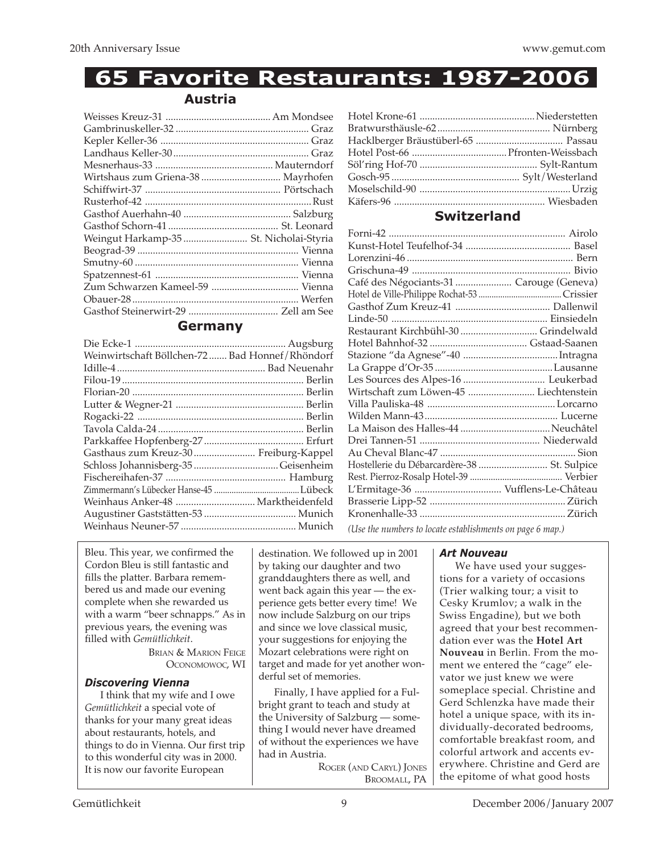### **65 Favorite Restaurants: 1987-2006**

#### **Austria**

| Wirtshaus zum Griena-38  Mayrhofen      |  |
|-----------------------------------------|--|
|                                         |  |
|                                         |  |
|                                         |  |
|                                         |  |
| Weingut Harkamp-35  St. Nicholai-Styria |  |
|                                         |  |
|                                         |  |
|                                         |  |
|                                         |  |
|                                         |  |
|                                         |  |
|                                         |  |

#### **Germany**

| Weinwirtschaft Böllchen-72 Bad Honnef/Rhöndorf |  |
|------------------------------------------------|--|
|                                                |  |
|                                                |  |
|                                                |  |
|                                                |  |
|                                                |  |
|                                                |  |
|                                                |  |
| Gasthaus zum Kreuz-30  Freiburg-Kappel         |  |
|                                                |  |
|                                                |  |
|                                                |  |
| Weinhaus Anker-48  Marktheidenfeld             |  |
|                                                |  |
|                                                |  |
|                                                |  |

#### **Switzerland**

| Café des Négociants-31  Carouge (Geneva)                  |  |  |
|-----------------------------------------------------------|--|--|
|                                                           |  |  |
|                                                           |  |  |
|                                                           |  |  |
| Restaurant Kirchbühl-30  Grindelwald                      |  |  |
|                                                           |  |  |
|                                                           |  |  |
|                                                           |  |  |
|                                                           |  |  |
| Wirtschaft zum Löwen-45  Liechtenstein                    |  |  |
|                                                           |  |  |
|                                                           |  |  |
|                                                           |  |  |
|                                                           |  |  |
|                                                           |  |  |
| Hostellerie du Débarcardère-38  St. Sulpice               |  |  |
|                                                           |  |  |
|                                                           |  |  |
|                                                           |  |  |
|                                                           |  |  |
| (Use the numbers to locate establishments on page 6 map.) |  |  |

Bleu. This year, we confirmed the Cordon Bleu is still fantastic and fills the platter. Barbara remembered us and made our evening complete when she rewarded us with a warm "beer schnapps." As in previous years, the evening was filled with *Gemütlichkeit*.

BRIAN & MARION FEIGE OCONOMOWOC, WI

#### *Discovering Vienna*

I think that my wife and I owe *Gemütlichkeit* a special vote of thanks for your many great ideas about restaurants, hotels, and things to do in Vienna. Our first trip to this wonderful city was in 2000. It is now our favorite European

destination. We followed up in 2001 by taking our daughter and two granddaughters there as well, and went back again this year — the experience gets better every time! We now include Salzburg on our trips and since we love classical music, your suggestions for enjoying the Mozart celebrations were right on target and made for yet another wonderful set of memories.

Finally, I have applied for a Fulbright grant to teach and study at the University of Salzburg — something I would never have dreamed of without the experiences we have had in Austria.

> ROGER (AND CARYL) JONES BROOMALL, PA

#### *Art Nouveau*

We have used your suggestions for a variety of occasions (Trier walking tour; a visit to Cesky Krumlov; a walk in the Swiss Engadine), but we both agreed that your best recommendation ever was the **Hotel Art Nouveau** in Berlin. From the moment we entered the "cage" elevator we just knew we were someplace special. Christine and Gerd Schlenzka have made their hotel a unique space, with its individually-decorated bedrooms, comfortable breakfast room, and colorful artwork and accents everywhere. Christine and Gerd are the epitome of what good hosts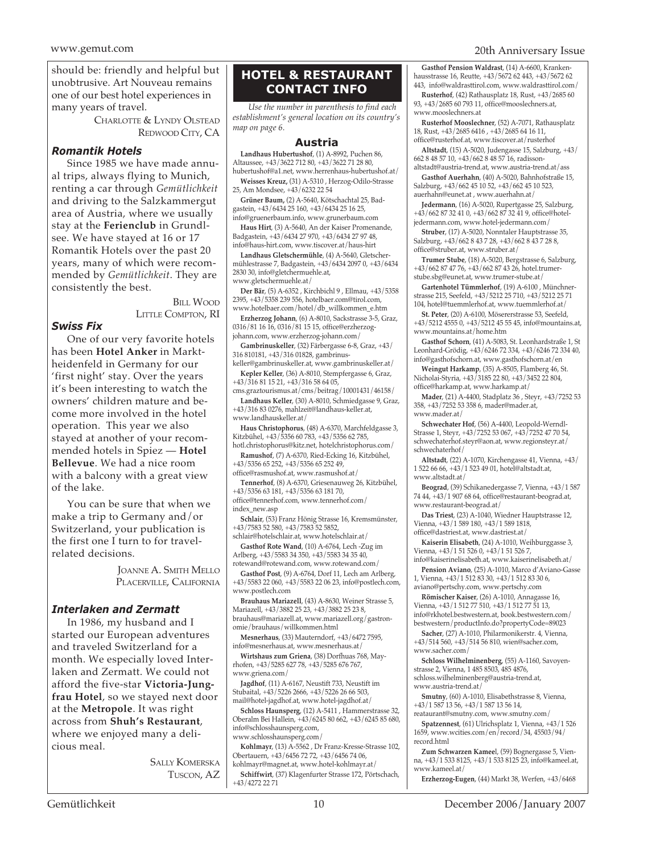should be: friendly and helpful but unobtrusive. Art Nouveau remains one of our best hotel experiences in many years of travel.

> CHARLOTTE & LYNDY OLSTEAD REDWOOD CITY, CA

#### *Romantik Hotels*

Since 1985 we have made annual trips, always flying to Munich, renting a car through *Gemütlichkeit* and driving to the Salzkammergut area of Austria, where we usually stay at the **Ferienclub** in Grundlsee. We have stayed at 16 or 17 Romantik Hotels over the past 20 years, many of which were recommended by *Gemütlichkeit*. They are consistently the best.

> Bill Wood LITTLE COMPTON, RI

#### *Swiss Fix*

One of our very favorite hotels has been **Hotel Anker** in Marktheidenfeld in Germany for our 'first night' stay. Over the years it's been interesting to watch the owners' children mature and become more involved in the hotel operation. This year we also stayed at another of your recommended hotels in Spiez — **Hotel Bellevue**. We had a nice room with a balcony with a great view of the lake.

You can be sure that when we make a trip to Germany and/or Switzerland, your publication is the first one I turn to for travelrelated decisions.

> JOANNE A. SMITH MELLO PLACERVILLE, CALIFORNIA

#### *Interlaken and Zermatt*

In 1986, my husband and I started our European adventures and traveled Switzerland for a month. We especially loved Interlaken and Zermatt. We could not afford the five-star **Victoria-Jungfrau Hotel**, so we stayed next door at the **Metropole**. It was right across from **Shuh's Restaurant**, where we enjoyed many a delicious meal.

> SALLY KOMERSKA TUSCON, AZ

#### **HOTEL & RESTAURANT CONTACT INFO**

*Use the number in parenthesis to find each establishment's general location on its country's map on page 6.*

#### **Austria**

**Landhaus Hubertushof**, (1) A-8992, Puchen 86, Altaussee, +43/3622 712 80, +43/3622 71 28 80, hubertushof@a1.net, www.herrenhaus-hubertushof.at/

**Weisses Kreuz,** (31) A-5310 , Herzog-Odilo-Strasse 25, Am Mondsee, +43/6232 22 54

**Grüner Baum,** (2) A-5640, Kötschachtal 25, Badgastein, +43/6434 25 160, +43/6434 25 16 25, info@gruenerbaum.info, www.grunerbaum.com

**Haus Hirt**, (3) A-5640, An der Kaiser Promenande, Badgastein, +43/6434 27 970, +43/6434 27 97 48, info@haus-hirt.com, www.tiscover.at/haus-hirt

**Landhaus Gletschermühle**, (4) A-5640, Gletschermühlestrasse 7, Badgastein, +43/6434 2097 0, +43/6434 2830 30, info@gletchermuehle.at, www.gletschermuehle.at/

**Der Bär**, (5) A-6352 , Kirchbichl 9 , Ellmau, +43/5358 2395, +43/5358 239 556, hotelbaer.com@tirol.com, www.hotelbaer.com/hotel/db\_willkommen\_e.htm

**Erzherzog Johann**, (6) A-8010, Sackstrasse 3-5, Graz, 0316/81 16 16, 0316/81 15 15, office@erzherzogjohann.com, www.erzherzog-johann.com/

**Gambrinuskeller**, (32) Färbergasse 6-8, Graz, +43/ 316 810181, +43/316 01828, gambrinus-

keller@gambrinuskeller.at, www.gambrinuskeller.at/ **Kepler Keller**, (36) A-8010, Stempfergasse 6, Graz, +43/316 81 15 21, +43/316 58 64 05,

 $\mathrm{cms}$ graztourismus.at/ $\mathrm{cms}$ /beitrag/10001431/46158/

**Landhaus Keller**, (30) A-8010, Schmiedgasse 9, Graz, +43/316 83 0276, mahlzeit@landhaus-keller.at, www.landhauskeller.at/

**Haus Christophorus**, (48) A-6370, Marchfeldgasse 3, Kitzbühel, +43/5356 60 783, +43/5356 62 785,

hotl.christophorus@kitz.net, hotelchristophorus.com/ **Ramushof**, (7) A-6370, Ried-Ecking 16, Kitzbühel, +43/5356 65 252, +43/5356 65 252 49,

office@rasmushof.at, www.rasmushof.at/

**Tennerhof**, (8) A-6370, Griesenauweg 26, Kitzbühel, +43/5356 63 181, +43/5356 63 181 70,

office@tennerhof.com, www.tennerhof.com/ index\_new.asp

**Schlair**, (53) Franz Hönig Strasse 16, Kremsmünster, +43/7583 52 580, +43/7583 52 5852,

schlair@hotelschlair.at, www.hotelschlair.at/ **Gasthof Rote Wand**, (10) A-6764, Lech -Zug im

Arlberg, +43/5583 34 350, +43/5583 34 35 40, rotewand@rotewand.com, www.rotewand.com/

**Gasthof Post**, (9) A-6764, Dorf 11, Lech am Arlberg, +43/5583 22 060, +43/5583 22 06 23, info@postlech.com, www.postlech.com

**Brauhaus Mariazell**, (43) A-8630, Weiner Strasse 5, Mariazell, +43/3882 25 23, +43/3882 25 23 8, brauhaus@mariazell.at, www.mariazell.org/gastronomie/brauhaus/willkommen.html

**Mesnerhaus**, (33) Mauterndorf, +43/6472 7595, info@mesnerhaus.at, www.mesnerhaus.at/

**Wirtshaus zum Griena**, (38) Dorfhuas 768, Mayrhofen, +43/5285 627 78, +43/5285 676 767, www.griena.com/

**Jagdhof**, (11) A-6167, Neustift 733, Neustift im Stubaital, +43/5226 2666, +43/5226 26 66 503, mail@hotel-jagdhof.at, www.hotel-jagdhof.at/

**Schloss Haunsperg**, (12) A-5411 , Hammerstrasse 32, Oberalm Bei Hallein, +43/6245 80 662, +43/6245 85 680, info@schlosshaunsperg.com, www.schlosshaunsperg.com/

**Kohlmayr**, (13) A-5562 , Dr Franz-Kresse-Strasse 102, Obertauern, +43/6456 72 72, +43/6456 74 06, kohlmayr@magnet.at, www.hotel-kohlmayr.at/

**Schiffwirt**, (37) Klagenfurter Strasse 172, Pörtschach, +43/4272 22 71

**Gasthof Pension Waldrast**, (14) A-6600, Krankenhausstrasse 16, Reutte, +43/5672 62 443, +43/5672 62 443, info@waldrasttirol.com, www.waldrasttirol.com/

**Rusterhof**, (42) Rathausplatz 18, Rust, +43/2685 60 93, +43/2685 60 793 11, office@mooslechners.at, www.mooslechners.at

**Rusterhof Mooslechner**, (52) A-7071, Rathausplatz 18, Rust, +43/2685 6416 , +43/2685 64 16 11, office@rusterhof.at, www.tiscover.at/rusterhof

**Altstadt**, (15) A-5020, Judengasse 15, Salzburg, +43/ 662 8 48 57 10, +43/662 8 48 57 16, radisson-

altstadt@austria-trend.at, www.austria-trend.at/ass **Gasthof Auerhahn**, (40) A-5020, Bahnhofstraße 15,

Salzburg, +43/662 45 10 52, +43/662 45 10 523, auerhahn@eunet.at , www.auerhahn.at/

**Jedermann**, (16) A-5020, Rupertgasse 25, Salzburg, +43/662 87 32 41 0, +43/662 87 32 41 9, office@hoteljedermann.com, www.hotel-jedermann.com/

**Struber**, (17) A-5020, Nonntaler Hauptstrasse 35, Salzburg, +43/662 8 43 7 28, +43/662 8 43 7 28 8, office@struber.at, www.struber.at/

**Trumer Stube**, (18) A-5020, Bergstrasse 6, Salzburg, +43/662 87 47 76, +43/662 87 43 26, hotel.trumerstube.sbg@eunet.at, www.trumer-stube.at/

**Gartenhotel Tümmlerhof**, (19) A-6100 , Münchnerstrasse 215, Seefeld, +43/5212 25 710, +43/5212 25 71 104, hotel@tuemmlerhof.at, www.tuemmlerhof.at/

**St. Peter**, (20) A-6100, Mösererstrasse 53, Seefeld, +43/5212 4555 0, +43/5212 45 55 45, info@mountains.at, www.mountains.at/home.htm

**Gasthof Schorn**, (41) A-5083, St. Leonhardstraße 1, St Leonhard-Grödig, +43/6246 72 334, +43/6246 72 334 40, info@gasthofschorn.at, www.gasthofschorn.at/en

**Weingut Harkamp**, (35) A-8505, Flamberg 46, St. Nicholai-Styria, +43/3185 22 80, +43/3452 22 804, office@harkamp.at, www.harkamp.at/

**Mader**, (21) A-4400, Stadplatz 36 , Steyr, +43/7252 53 358, +43/7252 53 358 6, mader@mader.at, www.mader.at/

**Schwechater Hof**, (56) A-4400, Leopold-Werndl-Strasse 1, Steyr, +43/7252 53 067, +43/7252 47 70 54,  $\operatorname{schwechaterhof}.\operatorname{stepr@aon}$  .at, www.regionsteyr.at/ schwechaterhof/

**Altstadt**, (22) A-1070, Kirchengasse 41, Vienna, +43/ 1 522 66 66, +43/1 523 49 01, hotel@altstadt.at, www.altstadt.at/

**Beograd**, (39) Schikanedergasse 7, Vienna, +43/1 587 74 44, +43/1 907 68 64, office@restaurant-beograd.at, www.restaurant-beograd.at/

**Das Triest**, (23) A-1040, Wiedner Hauptstrasse 12, Vienna, +43/1 589 180, +43/1 589 1818, office@dastriest.at, www.dastriest.at/

**Kaiserin Elisabeth**, (24) A-1010, Weihburggasse 3, Vienna, +43/1 51 526 0, +43/1 51 526 7,

info@kaiserinelisabeth.at, www.kaiserinelisabeth.at/

**Pension Aviano**, (25) A-1010, Marco d'Aviano-Gasse 1, Vienna,  $+43/1$  512 83 30,  $+43/1$  512 83 30.6 aviano@pertschy.com, www.pertschy.com

**Römischer Kaiser**, (26) A-1010, Annagasse 16, Vienna, +43/1 512 77 510, +43/1 512 77 51 13, info@rkhotel.bestwestern.at, book.bestwestern.com/ bestwestern/productInfo.do?propertyCode=89023

**Sacher**, (27) A-1010, Philarmonikerstr. 4, Vienna, +43/514 560, +43/514 56 810, wien@sacher.com, www.sacher.com/

**Schloss Wilhelminenberg**, (55) A-1160, Savoyenstrasse 2, Vienna, 1 485 8503, 485 4876, schloss.wilhelminenberg@austria-trend.at,

www.austria-trend.at/

**Smutny**, (60) A-1010, Elisabethstrasse 8, Vienna, +43/1 587 13 56, +43/1 587 13 56 14, reataurant@smutny.com, www.smutny.com/

**Spatzennest**, (61) Ulrichsplatz 1, Vienna, +43/1 526 1659, www.wcities.com/en/record/34, 45503/94/ record.html

**Zum Schwarzen Kamee**l, (59) Bognergasse 5, Vien-na, +43/1 533 8125, +43/1 533 8125 23, info@kameel.at, www.kameel.at/

**Erzherzog-Eugen**, (44) Markt 38, Werfen, +43/6468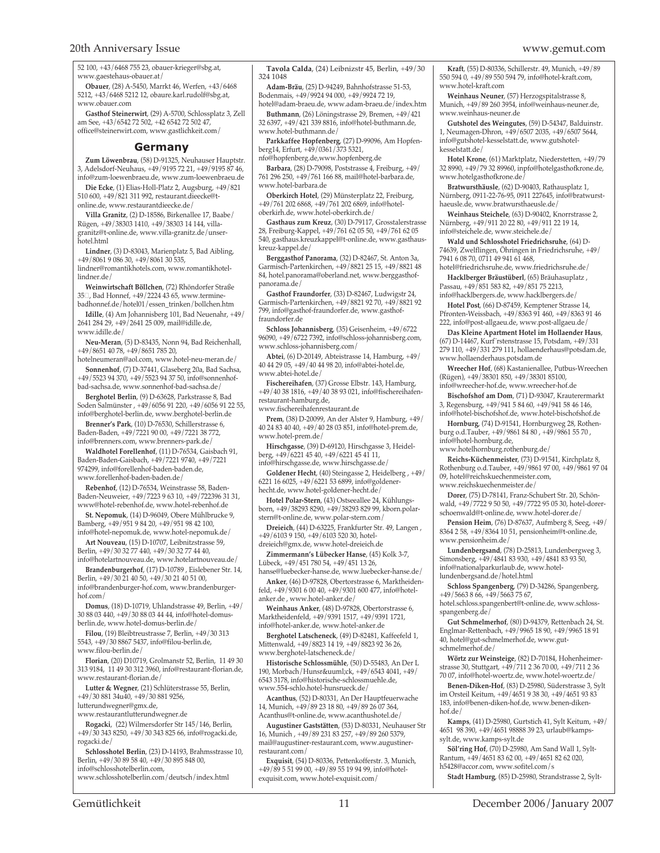52 100, +43/6468 755 23, obauer-krieger@sbg.at, www.gaestehaus-obauer.at/

**Obauer**, (28) A-5450, Marrkt 46, Werfen, +43/6468 5212, +43/6468 5212 12, obaure.karl.rudolf@sbg.at, www.obauer.com

**Gasthof Steinerwirt**, (29) A-5700, Schlossplatz 3, Zell am See, +43/6542 72 502, +42 6542 72 502 47, office@steinerwirt.com, www.gastlichkeit.com/

#### **Germany**

**Zum Löwenbrau**, (58) D-91325, Neuhauser Hauptstr. 3, Adelsdorf-Neuhaus, +49/9195 72 21, +49/9195 87 46, info@zum-loewenbraeu.de, www.zum-loewenbraeu.de

**Die Ecke**, (1) Elias-Holl-Platz 2, Augsburg, +49/821 510 600, +49/821 311 992, restaurant.dieecke@tonline.de, www.restaurantdieecke.de/

**Villa Granitz**, (2) D-18586, Birkenallee 17, Baabe/ Rügen, +49/38303 1410, +49/38303 14 144, villagranitz@t-online.de, www.villa-granitz.de/unserhotel.html

**Lindner**, (3) D-83043, Marienplatz 5, Bad Aibling, +49/8061 9 086 30, +49/8061 30 535,

lindner@romantikhotels.com, www.romantikhotellindner.de/

**Weinwirtschaft Böllchen**, (72) Rhöndorfer Straße 35<sup> $\Box$ </sup>, Bad Honnef, +49/2224 43 65, www.terminebadhonnef.de/hotel01/essen\_trinken/bollchen.htm

**Idille**, (4) Am Johannisberg 101, Bad Neuenahr, +49/ 2641 284 29, +49/2641 25 009, mail@idille.de, www.idille.de/

**Neu-Meran**, (5) D-83435, Nonn 94, Bad Reichenhall, +49/8651 40 78, +49/8651 785 20,

hotelneumeran@aol.com, www.hotel-neu-meran.de/ **Sonnenhof**, (7) D-37441, Glaseberg 20a, Bad Sachsa, +49/5523 94 370, +49/5523 94 37 50, info@sonnenhofbad-sachsa.de, www.sonnenhof-bad-sachsa.de/

**Berghotel Berlin**, (9) D-63628, Parkstrasse 8, Bad Soden Salmünster , +49/6056 91 220, +49/6056 91 22 55,

info@berghotel-berlin.de, www.berghotel-berlin.de **Brenner's Park**, (10) D-76530, Schillerstrasse 6, Baden-Baden, +49/7221 90 00, +49/7221 38 772, info@brenners.com, www.brenners-park.de/

**Waldhotel Forellenhof**, (11) D-76534, Gaisbach 91, Baden-Baden-Gaisbach, +49/7221 9740, +49/7221 974299, info@forellenhof-baden-baden.de, www.forellenhof-baden-baden.de/

**Rebenhof**, (12) D-76534, Weinstrasse 58, Baden-Baden-Neuweier, +49/7223 9 63 10, +49/722396 31 31, www@hotel-rebenhof.de, www.hotel-rebenhof.de

**St. Nepomuk**, (14) D-96049, Obere Mühlbrucke 9, Bamberg, +49/951 9 84 20, +49/951 98 42 100, info@hotel-nepomuk.de, www.hotel-nepomuk.de/

**Art Nouveau**, (15) D-10707, Leibnitzstrasse 59, Berlin, +49/30 32 77 440, +49/30 32 77 44 40,

info@hotelartnouveau.de, www.hotelartnouveau.de/ **Brandenburgerhof**, (17) D-10789 , Eislebener Str. 14,

Berlin, +49/30 21 40 50, +49/30 21 40 51 00, info@brandenburger-hof.com, www.brandenburgerhof.com/

**Domus**, (18) D-10719, Uhlandstrasse 49, Berlin, +49/ 30 88 03 440, +49/30 88 03 44 44, info@hotel-domusberlin.de, www.hotel-domus-berlin.de/

**Filou**, (19) Bleibtreustrasse 7, Berlin, +49/30 313 5543, +49/30 8867 5437, info@filou-berlin.de, www.filou-berlin.de/

**Florian**, (20) D10719, Grolmanstr 52, Berlin, 11 49 30 313 9184, 11 49 30 312 3960, info@restaurant-florian.de, www.restaurant-florian.de/

**Lutter & Wegner**, (21) Schlüterstrasse 55, Berlin, +49/30 881 34u40, +49/30 881 9256,

lutterundwegner@gmx.de, www.restaurantlutterundwegner.de

**Rogacki**, (22) Wilmersdorfer Str 145/146, Berlin, +49/30 343 8250, +49/30 343 825 66, info@rogacki.de, rogacki.de/

**Schlosshotel Berlin**, (23) D-14193, Brahmsstrasse 10, Berlin, +49/30 89 58 40, +49/30 895 848 00,

info@schlosshotelberlin.com, www.schlosshotelberlin.com/deutsch/index.html

**Tavola Calda**, (24) Leibnizstr 45, Berlin, +49/30 324 1048

**Adam-Bräu**, (25) D-94249, Bahnhofstrasse 51-53, Bodenmais, +49/9924 94 000, +49/9924 72 19, hotel@adam-braeu.de, www.adam-braeu.de/index.htm

**Buthmann**, (26) Löningstrasse 29, Bremen, +49/421 32 6397, +49/421 339 8816, info@hotel-buthmann.de, www.hotel-buthmann.de/

**Parkkaffee Hopfenberg**, (27) D-99096, Am Hopfenberg14, Erfurt, +49/0361/373 5321, nfo@hopfenberg.de,www.hopfenberg.de

**Barbara**, (28) D-79098, Poststrasse 4, Freiburg, +49/ 761 296 250, +49/761 166 88, mail@hotel-barbara.de,

www.hotel-barbara.de **Oberkirch Hotel**, (29) Münsterplatz 22, Freiburg,

+49/761 202 6868, +49/761 202 6869, info@hoteloberkirh.de, www.hotel-oberkirch.de/

**Gasthaus zum Kreuz**, (30) D-79117, Grosstalerstrasse 28, Freiburg-Kappel, +49/761 62 05 50, +49/761 62 05 540, gasthaus.kreuzkappel@t-online.de, www.gasthauskreuz-kappel.de/

**Berggasthof Panorama**, (32) D-82467, St. Anton 3a, Garmisch-Partenkirchen, +49/8821 25 15, +49/8821 48 84, hotel.panorama@oberland.net, www.berggasthofpanorama.de/

**Gasthof Fraundorfer**, (33) D-82467, Ludwigstr 24, Garmisch-Partenkirchen, +49/8821 92 70, +49/8821 92 799, info@gasthof-fraundorfer.de, www.gasthoffraundorfer.de

**Schloss Johannisberg**, (35) Geisenheim, +49/6722 96090, +49/6722 7392, info@schloss-johannisberg.com, www.schloss-johannisberg.com/

**Abtei**, (6) D-20149, Abteistrasse 14, Hamburg, +49/ 40 44 29 05, +49/40 44 98 20, info@abtei-hotel.de, www.abtei-hotel.de/

restaurant-hamburg.de,

**Fischereihafen**, (37) Grosse Elbstr. 143, Hamburg, +49/40 38 1816, +49/40 38 93 021, info@fischereihafen-

www.fischereihafenrestaurant.de

**Prem**, (38) D-20099, An der Alster 9, Hamburg, +49/ 40 24 83 40 40, +49/40 28 03 851, info@hotel-prem.de, www.hotel-prem.de/

**Hirschgasse**, (39) D-69120, Hirschgasse 3, Heidelberg, +49/6221 45 40, +49/6221 45 41 11, info@hirschgasse.de, www.hirschgasse.de/

**Goldener Hecht**, (40) Steingasse 2, Heidelberg , +49/ 6221 16 6025, +49/6221 53 6899, info@goldenerhecht.de, www.hotel-goldener-hecht.de/

**Hotel Polar-Stern**, (43) Ostseeallee 24, Kühlungsborn, +49/38293 8290, +49/38293 829 99, kborn.polarstern@t-online.de, www.polar-stern.com/

**Dreieich**, (44) D-63225, Frankfurter Str. 49, Langen , +49/6103 9 150, +49/6103 520 30, hoteldreieich@gmx.de, www.hotel-dreieich.de

**Zimmermann's Lübecker Hanse**, (45) Kolk 3-7, Lübeck, +49/451 780 54, +49/451 13 26,

hanse@luebecker-hanse.de, www.luebecker-hanse.de/

**Anker**, (46) D-97828, Obertorstrasse 6, Marktheidenfeld, +49/9301 6 00 40, +49/9301 600 477, info@hotelanker.de , www.hotel-anker.de/

**Weinhaus Anker**, (48) D-97828, Obertorstrasse 6, Marktheidenfeld, +49/9391 1517, +49/9391 1721, info@hotel-anker.de, www.hotel-anker.de

**Berghotel Latscheneck**, (49) D-82481, Kaffeefeld 1, Mittenwald, +49/8823 14 19, +49/8823 92 36 26, www.berghotel-latscheneck.de/

**Historische Schlossmühle**, (50) D-55483, An Der L 190, Morbach/Hunsrück, +49/6543 4041, +49/ 6543 3178, info@historische-schlossmuehle.de, www.554-schlo.hotel-hunsrueck.de/

**Acanthus**, (52) D-80331, An Der Hauptfeuerwache 14, Munich, +49/89 23 18 80, +49/89 26 07 364, Acanthus@t-online.de, www.acanthushotel.de/

**Augustiner Gaststätten**, (53) D-80331, Neuhauser Str 16, Munich , +49/89 231 83 257, +49/89 260 5379, mail@augustiner-restaurant.com, www.augustinerrestaurant.com/

**Exquisit**, (54) D-80336, Pettenkofferstr. 3, Munich, +49/89 5 51 99 00, +49/89 55 19 94 99, info@hotelexquisit.com, www.hotel-exquisit.com/

**Kraft**, (55) D-80336, Schillerstr. 49, Munich, +49/89 550 594 0, +49/89 550 594 79, info@hotel-kraft.com, www.hotel-kraft.com

**Weinhaus Neuner**, (57) Herzogspitalstrasse 8, Munich, +49/89 260 3954, info@weinhaus-neuner.de, www.weinhaus-neuner.de

**Gutshotel des Weingutes**, (59) D-54347, Balduinstr. 1, Neumagen-Dhron, +49/6507 2035, +49/6507 5644, info@gutshotel-kesselstatt.de, www.gutshotelkesselstatt.de/

**Hotel Krone**, (61) Marktplatz, Niederstetten, +49/79 32 8990, +49/79 32 89960, inpfo@hotelgasthofkrone.de, www.hotelgasthofkrone.de/

**Bratwursthäusle**, (62) D-90403, Rathausplatz 1, Nürnberg, 0911-22-76-95, 0911 227645, info@bratwursthaeusle.de, www.bratwursthaeusle.de/

**Weinhaus Steichele**, (63) D-90402, Knorrstrasse 2, Nürnberg, +49/911 20 22 80, +49/911 22 19 14, info@steichele.de, www.steichele.de/

**Wald und Schlosshotel Friedrichsruhe**, (64) D-74639, Zwelflingen, Öhringen in Friedrichsruhe, +49/ 7941 6 08 70, 0711 49 941 61 468,

hotel@friedrichsruhe.de, www.friedrichsruhe.de/ **Hacklberger Bräustüberl**, (65) Bräuhasuplatz , Passau, +49/851 583 82, +49/851 75 2213,

info@hacklbergers.de, www.hacklbergers.de/ **Hotel Post**, (66) D-87459, Kemptener Strasse 14,

Pfronten-Weissbach, +49/8363 91 460, +49/8363 91 46 222, info@post-allgaeu.de, www.post-allgaeu.de/

**Das Kleine Apartment Hotel im Hollaender Haus**, (67) D-14467, Kurf¨rstenstrasse 15, Potsdam, +49/331 279 110, +49/331 279 111, hollaenderhaus@potsdam.de, www.hollaenderhaus.potsdam.de

**Wreecher Hof**, (68) Kastanienallee, Putbus-Wreechen (Rügen), +49/38301 850, +49/38301 85100, info@wreecher-hof.de, www.wreecher-hof.de

**Bischofshof am Dom**, (71) D-93047, Krauterermarkt 3, Regensburg, +49/941 5 84 60, +49/941 58 46 146,

info@hotel-bischofshof.de, www.hotel-bischofshof.de **Hornburg**, (74) D-91541, Hornburgweg 28, Rothenburg o.d.Tauber, +49/9861 84 80 , +49/9861 55 70 , info@hotel-hornburg.de,

www.hotelhornburg.rothenburg.de/

**Reichs-Küchenmeister**, (73) D-91541, Kirchplatz 8, Rothenburg o.d.Tauber, +49/9861 97 00, +49/9861 97 04 09, hotel@reichskuechenmeister.com, www.reichskuechenmeister.de/

**Dorer**, (75) D-78141, Franz-Schubert Str. 20, Schönwald, +49/7722 9 50 50, +49/7722 95 05 30, hotel-dorerschoenwald@t-online.de, www.hotel-dorer.de/

**Pension Heim**, (76) D-87637, Aufmberg 8, Seeg, +49/ 8364 2 58, +49/8364 10 51, pensionheim@t-online.de, www.pensionheim.de/

**Lundenbergsand**, (78) D-25813, Lundenbergweg 3, Simonsberg, +49/4841 83 930, +49/4841 83 93 50, info@nationalparkurlaub.de, www.hotellundenbergsand.de/hotel.html

**Schloss Spangenberg**, (79) D-34286, Spangenberg, +49/5663 8 66, +49/5663 75 67,

hotel.schloss.spangenbert@t-online.de, www.schlossspangenberg.de/

**Gut Schmelmerhof**, (80) D-94379, Rettenbach 24, St. Englmar-Rettenbach, +49/9965 18 90, +49/9965 18 91 40, hotel@gut-schmelmerhof.de, www.gutschmelmerhof.de/

**Wörtz zur Weinsteige**, (82) D-70184, Hohenheimerstrasse 30, Stuttgart, +49/711 2 36 70 00, +49/711 2 36 70 07, info@hotel-woertz.de, www.hotel-woertz.de/

**Benen-Diken-Hof**, (83) D-25980, Süderstrasse 3, Sylt im Orsteil Keitum, +49/4651 9 38 30, +49/4651 93 83 183, info@benen-diken-hof.de, www.benen-dikenhof.de/

**Kamps**, (41) D-25980, Gurtstich 41, Sylt Keitum, +49/ 4651 98 390, +49/4651 98888 39 23, urlaub@kampssylt.de, www.kamps-sylt.de

**Söl'ring Hof**, (70) D-25980, Am Sand Wall 1, Sylt-Rantum, +49/4651 83 62 00, +49/4651 82 62 020, h5428@accor.com, www.sofitel.com/s

**Stadt Hamburg**, (85) D-25980, Strandstrasse 2, Sylt-